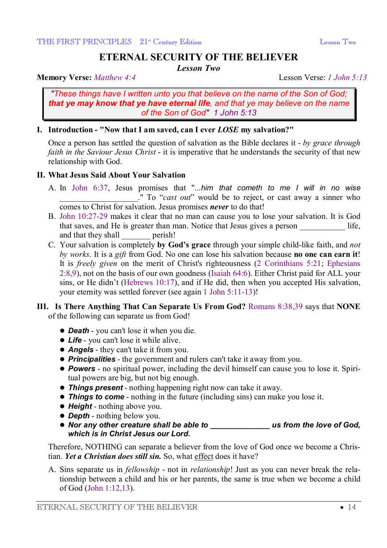# **ETERNAL SECURITY OF THE BELIEVER**

*Lesson Two* 

**Memory Verse:** *Matthew 4:4* Lesson Verse: *1 John 5:13*

*"These things have I written unto you that believe on the name of the Son of God; that ye may know that ye have eternal life, and that ye may believe on the name of the Son of God" 1 John 5:13*

## **I. Introduction - "Now that I am saved, can I ever** *LOSE* **my salvation?"**

Once a person has settled the question of salvation as the Bible declares it - *by grace through faith in the Saviour Jesus Christ* - it is imperative that he understands the security of that new relationship with God.

## **II. What Jesus Said About Your Salvation**

- A. In John 6:37, Jesus promises that "*...him that cometh to me I will in no wise* \_\_\_\_\_\_\_\_\_\_\_\_\_\_\_\_\_\_\_." To "*cast out*" would be to reject, or cast away a sinner who comes to Christ for salvation. Jesus promises *never* to do that!
- B. John 10:27-29 makes it clear that no man can cause you to lose your salvation. It is God that saves, and He is greater than man. Notice that Jesus gives a person life, and that they shall perish!
- C. Your salvation is completely **by God's grace** through your simple child-like faith, and *not by works*. It is a *gift* from God. No one can lose his salvation because **no one can earn it**! It is *freely given* on the merit of Christ's righteousness (2 Corinthians 5:21; Ephesians 2:8,9), not on the basis of our own goodness (Isaiah 64:6). Either Christ paid for ALL your sins, or He didn't (Hebrews 10:17), and if He did, then when you accepted His salvation, your eternity was settled forever (see again 1 John 5:11-13)!

## **III. Is There Anything That Can Separate Us From God?** Romans 8:38,39 says that **NONE** of the following can separate us from God!

- **Death** you can't lose it when you die.
- **Life** you can't lose it while alive.
- **Angels** they can't take it from you.
- **Principalities** the government and rulers can't take it away from you.
- l *Powers* no spiritual power, including the devil himself can cause you to lose it. Spiritual powers are big, but not big enough.
- **Things present** nothing happening right now can take it away.
- l *Things to come* nothing in the future (including sins) can make you lose it.
- **Height** nothing above you.
- **Depth** nothing below you.
- l *Nor any other creature shall be able to \_\_\_\_\_\_\_\_\_\_\_\_\_\_ us from the love of God, which is in Christ Jesus our Lord***.**

Therefore, NOTHING can separate a believer from the love of God once we become a Christian. *Yet a Christian does still sin.* So, what effect does it have?

A. Sins separate us in *fellowship* - not in *relationship*! Just as you can never break the relationship between a child and his or her parents, the same is true when we become a child of God (John 1:12,13).